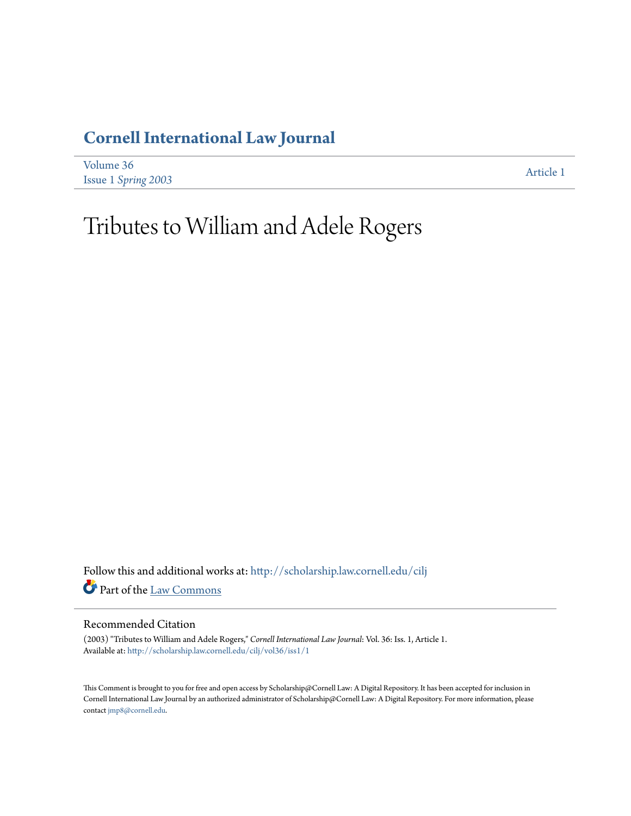# **[Cornell International Law Journal](http://scholarship.law.cornell.edu/cilj?utm_source=scholarship.law.cornell.edu%2Fcilj%2Fvol36%2Fiss1%2F1&utm_medium=PDF&utm_campaign=PDFCoverPages)**

| Volume 36                  | Article 1 |
|----------------------------|-----------|
| <b>Issue 1 Spring 2003</b> |           |

# Tributes to William and Adele Rogers

Follow this and additional works at: [http://scholarship.law.cornell.edu/cilj](http://scholarship.law.cornell.edu/cilj?utm_source=scholarship.law.cornell.edu%2Fcilj%2Fvol36%2Fiss1%2F1&utm_medium=PDF&utm_campaign=PDFCoverPages) Part of the [Law Commons](http://network.bepress.com/hgg/discipline/578?utm_source=scholarship.law.cornell.edu%2Fcilj%2Fvol36%2Fiss1%2F1&utm_medium=PDF&utm_campaign=PDFCoverPages)

### Recommended Citation

(2003) "Tributes to William and Adele Rogers," *Cornell International Law Journal*: Vol. 36: Iss. 1, Article 1. Available at: [http://scholarship.law.cornell.edu/cilj/vol36/iss1/1](http://scholarship.law.cornell.edu/cilj/vol36/iss1/1?utm_source=scholarship.law.cornell.edu%2Fcilj%2Fvol36%2Fiss1%2F1&utm_medium=PDF&utm_campaign=PDFCoverPages)

This Comment is brought to you for free and open access by Scholarship@Cornell Law: A Digital Repository. It has been accepted for inclusion in Cornell International Law Journal by an authorized administrator of Scholarship@Cornell Law: A Digital Repository. For more information, please contact [jmp8@cornell.edu.](mailto:jmp8@cornell.edu)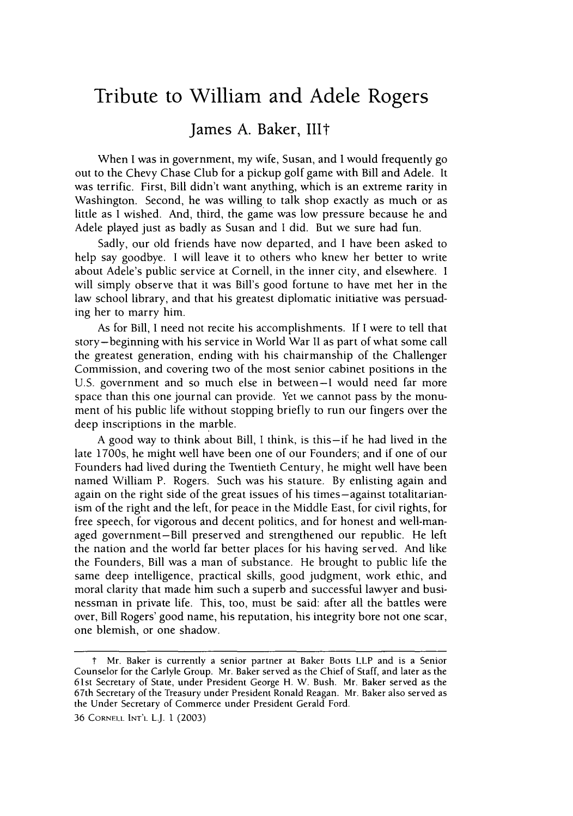# **Tribute to William and Adele Rogers**

# James **A.** Baker, **lilt**

When I was in government, my wife, Susan, and I would frequently go out to the Chevy Chase Club for a pickup golf game with Bill and Adele. It was terrific. First, Bill didn't want anything, which is an extreme rarity in Washington. Second, he was willing to talk shop exactly as much or as little as I wished. And, third, the game was low pressure because he and Adele played just as badly as Susan and I did. But we sure had fun.

Sadly, our old friends have now departed, and I have been asked to help say goodbye. I will leave it to others who knew her better to write about Adele's public service at Cornell, in the inner city, and elsewhere. I will simply observe that it was Bill's good fortune to have met her in the law school library, and that his greatest diplomatic initiative was persuading her to marry him.

As for Bill, I need not recite his accomplishments. If I were to tell that story-beginning with his service in World War II as part of what some call the greatest generation, ending with his chairmanship of the Challenger Commission, and covering two of the most senior cabinet positions in the U.S. government and so much else in between-I would need far more space than this one journal can provide. Yet we cannot pass by the monument of his public life without stopping briefly to run our fingers over the deep inscriptions in the marble.

A good way to think about Bill, I think, is this-if he had lived in the late 1700s, he might well have been one of our Founders; and if one of our Founders had lived during the Twentieth Century, he might well have been named William P. Rogers. Such was his stature. By enlisting again and again on the right side of the great issues of his times-against totalitarianism of the right and the left, for peace in the Middle East, for civil rights, for free speech, for vigorous and decent politics, and for honest and well-managed government-Bill preserved and strengthened our republic. He left the nation and the world far better places for his having served. And like the Founders, Bill was a man of substance. He brought to public life the same deep intelligence, practical skills, good judgment, work ethic, and moral clarity that made him such a superb and successful lawyer and businessman in private life. This, too, must be said: after all the battles were over, Bill Rogers' good name, his reputation, his integrity bore not one scar, one blemish, or one shadow.

t Mr. Baker is currently a senior partner at Baker Botts LLP and is a Senior Counselor for the Carlyle Group. Mr. Baker served as the Chief of Staff, and later as the 61st Secretary of State, under President George H. W. Bush. Mr. Baker served as the 67th Secretary of the Treasury under President Ronald Reagan. Mr. Baker also served as the Under Secretary of Commerce under President Gerald Ford.

<sup>36</sup> CORNELL **INT'L** LJ. 1 (2003)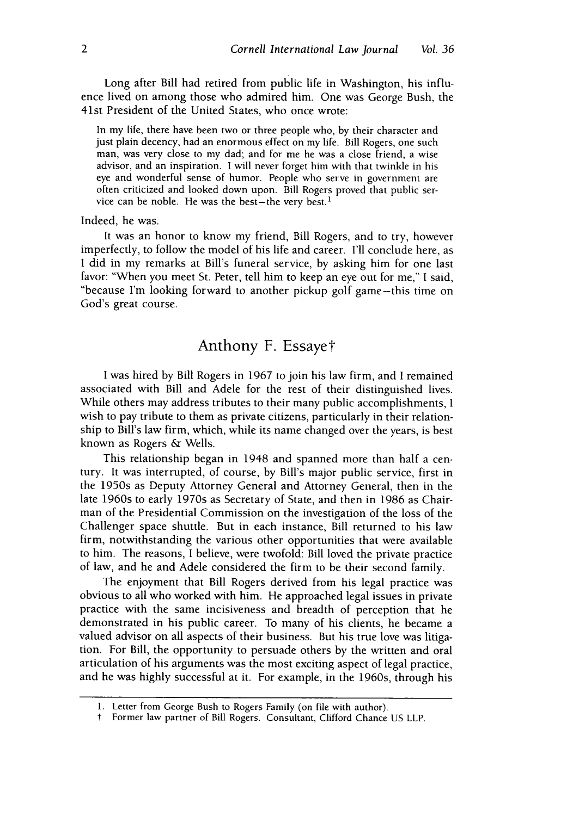Long after Bill had retired from public life in Washington, his influence lived on among those who admired him. One was George Bush, the 41st President of the United States, who once wrote:

In my life, there have been two or three people who, by their character and just plain decency, had an enormous effect on my life. Bill Rogers, one such man, was very close to my dad; and for me he was a close friend, a wise advisor, and an inspiration. I will never forget him with that twinkle in his eye and wonderful sense of humor. People who serve in government are often criticized and looked down upon. Bill Rogers proved that public service can be noble. He was the best-the very best.<sup>1</sup>

#### Indeed, he was.

It was an honor to know my friend, Bill Rogers, and to try, however imperfectly, to follow the model of his life and career. I'll conclude here, as I did in my remarks at Bill's funeral service, by asking him for one last favor: "When you meet St. Peter, tell him to keep an eye out for me," I said, "because I'm looking forward to another pickup golf game-this time on God's great course.

## Anthony F. Essayet

I was hired by Bill Rogers in 1967 to join his law firm, and I remained associated with Bill and Adele for the rest of their distinguished lives. While others may address tributes to their many public accomplishments, I wish to pay tribute to them as private citizens, particularly in their relationship to Bill's law firm, which, while its name changed over the years, is best known as Rogers & Wells.

This relationship began in 1948 and spanned more than half a century. It was interrupted, of course, by Bill's major public service, first in the 1950s as Deputy Attorney General and Attorney General, then in the late 1960s to early 1970s as Secretary of State, and then in 1986 as Chairman of the Presidential Commission on the investigation of the loss of the Challenger space shuttle. But in each instance, Bill returned to his law firm, notwithstanding the various other opportunities that were available to him. The reasons, I believe, were twofold: Bill loved the private practice of law, and he and Adele considered the firm to be their second family.

The enjoyment that Bill Rogers derived from his legal practice was obvious to all who worked with him. He approached legal issues in private practice with the same incisiveness and breadth of perception that he demonstrated in his public career. To many of his clients, he became a valued advisor on all aspects of their business. But his true love was litigation. For Bill, the opportunity to persuade others by the written and oral articulation of his arguments was the most exciting aspect of legal practice, and he was highly successful at it. For example, in the 1960s, through his

T Former law partner of Bill Rogers. Consultant, Clifford Chance US LLP.

<sup>1.</sup> Letter from George Bush to Rogers Family (on file with author).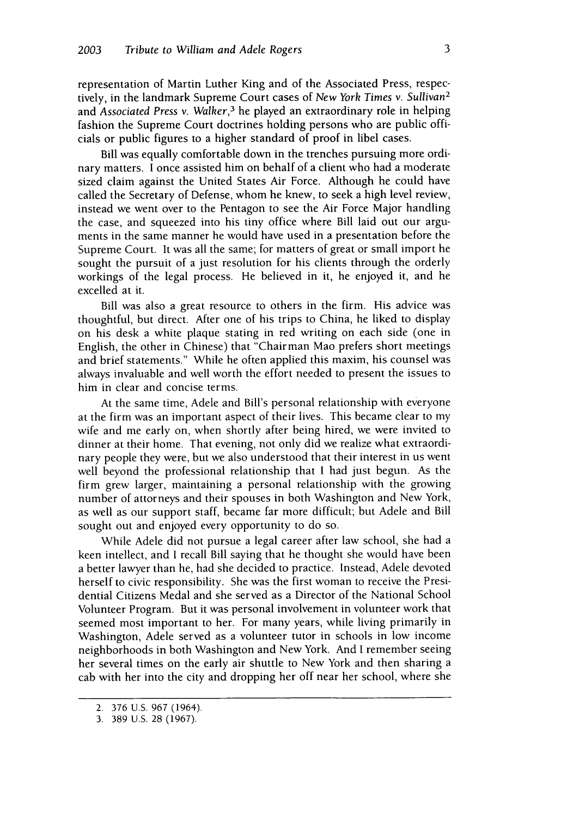representation of Martin Luther King and of the Associated Press, respectively, in the landmark Supreme Court cases of *New York Times* v. *Sullivan<sup>2</sup>* and *Associated Press* v. *Walker,<sup>3</sup>*he played an extraordinary role in helping fashion the Supreme Court doctrines holding persons who are public officials or public figures to a higher standard of proof in libel cases.

Bill was equally comfortable down in the trenches pursuing more ordinary matters. I once assisted him on behalf of a client who had a moderate sized claim against the United States Air Force. Although he could have called the Secretary of Defense, whom he knew, to seek a high level review, instead we went over to the Pentagon to see the Air Force Major handling the case, and squeezed into his tiny office where Bill laid out our arguments in the same manner he would have used in a presentation before the Supreme Court. It was all the same; for matters of great or small import he sought the pursuit of a just resolution for his clients through the orderly workings of the legal process. He believed in it, he enjoyed it, and he excelled at it.

Bill was also a great resource to others in the firm. His advice was thoughtful, but direct. After one of his trips to China, he liked to display on his desk a white plaque stating in red writing on each side (one in English, the other in Chinese) that "Chairman Mao prefers short meetings and brief statements." While he often applied this maxim, his counsel was always invaluable and well worth the effort needed to present the issues to him in clear and concise terms.

At the same time, Adele and Bill's personal relationship with everyone at the firm was an important aspect of their lives. This became clear to my wife and me early on, when shortly after being hired, we were invited to dinner at their home. That evening, not only did we realize what extraordinary people they were, but we also understood that their interest in us went well beyond the professional relationship that **I** had just begun. As the firm grew larger, maintaining a personal relationship with the growing number of attorneys and their spouses in both Washington and New York, as well as our support staff, became far more difficult; but Adele and Bill sought out and enjoyed every opportunity to do so.

While Adele did not pursue a legal career after law school, she had a keen intellect, and I recall Bill saying that he thought she would have been a better lawyer than he, had she decided to practice. Instead, Adele devoted herself to civic responsibility. She was the first woman to receive the Presidential Citizens Medal and she served as a Director of the National School Volunteer Program. But it was personal involvement in volunteer work that seemed most important to her. For many years, while living primarily in Washington, Adele served as a volunteer tutor in schools in low income neighborhoods in both Washington and New York. And I remember seeing her several times on the early air shuttle to New York and then sharing a cab with her into the city and dropping her off near her school, where she

<sup>2. 376</sup> U.S. 967 (1964).

<sup>3. 389</sup> U.S. 28 (1967).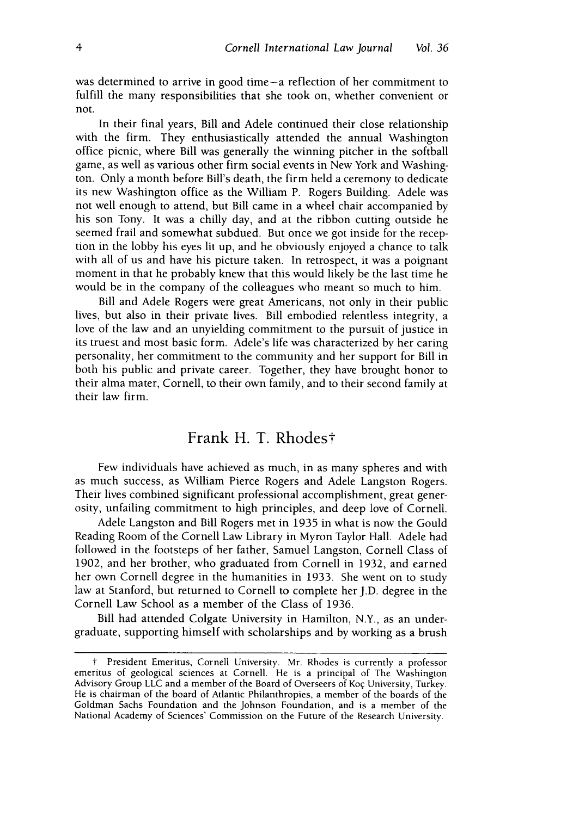was determined to arrive in good time-a reflection of her commitment to fulfill the many responsibilities that she took on, whether convenient or not.

In their final years, Bill and Adele continued their close relationship with the firm. They enthusiastically attended the annual Washington office picnic, where Bill was generally the winning pitcher in the softball game, as well as various other firm social events in New York and Washington. Only a month before Bill's death, the firm held a ceremony to dedicate its new Washington office as the William P. Rogers Building. Adele was not well enough to attend, but Bill came in a wheel chair accompanied by his son Tony. It was a chilly day, and at the ribbon cutting outside he seemed frail and somewhat subdued. But once we got inside for the reception in the lobby his eyes lit up, and he obviously enjoyed a chance to talk with all of us and have his picture taken. In retrospect, it was a poignant moment in that he probably knew that this would likely be the last time he would be in the company of the colleagues who meant so much to him.

Bill and Adele Rogers were great Americans, not only in their public lives, but also in their private lives. Bill embodied relentless integrity, a love of the law and an unyielding commitment to the pursuit of justice in its truest and most basic form. Adele's life was characterized by her caring personality, her commitment to the community and her support for Bill in both his public and private career. Together, they have brought honor to their alma mater, Cornell, to their own family, and to their second family at their law firm.

## Frank H. T. Rhodes†

Few individuals have achieved as much, in as many spheres and with as much success, as William Pierce Rogers and Adele Langston Rogers. Their lives combined significant professional accomplishment, great generosity, unfailing commitment to high principles, and deep love of Cornell.

Adele Langston and Bill Rogers met in 1935 in what is now the Gould Reading Room of the Cornell Law Library in Myron Taylor Hall. Adele had followed in the footsteps of her father, Samuel Langston, Cornell Class of 1902, and her brother, who graduated from Cornell in 1932, and earned her own Cornell degree in the humanities in 1933. She went on to study law at Stanford, but returned to Cornell to complete her J.D. degree in the Cornell Law School as a member of the Class of 1936.

Bill had attended Colgate University in Hamilton, N.Y., as an undergraduate, supporting himself with scholarships and by working as a brush

T President Emeritus, Cornell University. Mr. Rhodes is currently a professor emeritus of geological sciences at Cornell. He is a principal of The Washington Advisory Group LLC and a member of the Board of Overseers of Koç University, Turkey. He is chairman of the board of Atlantic Philanthropies, a member of the boards of the Goldman Sachs Foundation and the Johnson Foundation, and is a member of the National Academy of Sciences' Commission on the Future of the Research University.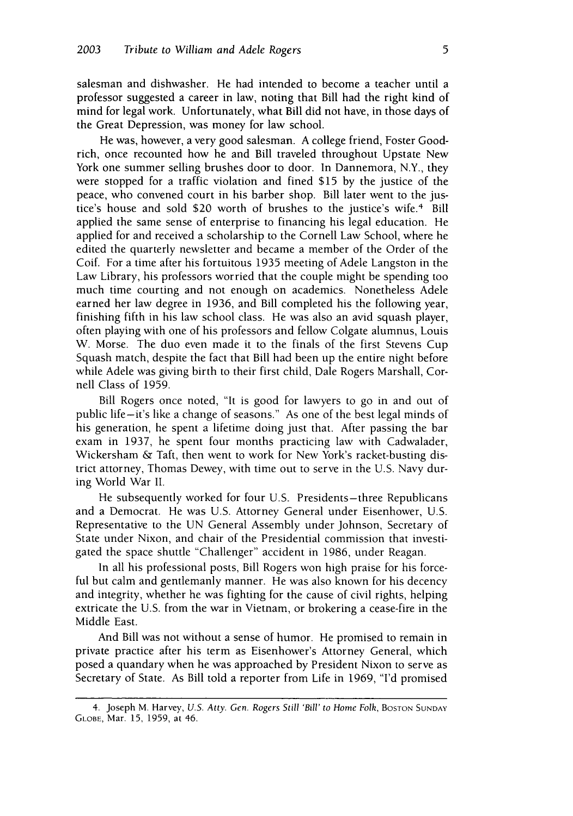salesman and dishwasher. He had intended to become a teacher until a professor suggested a career in law, noting that Bill had the right kind of mind for legal work. Unfortunately, what Bill did not have, in those days of the Great Depression, was money for law school.

He was, however, a very good salesman. A college friend, Foster Goodrich, once recounted how he and Bill traveled throughout Upstate New York one summer selling brushes door to door. In Dannemora, N.Y., they were stopped for a traffic violation and fined \$15 by the justice of the peace, who convened court in his barber shop. Bill later went to the justice's house and sold \$20 worth of brushes to the justice's wife.<sup>4</sup> Bill applied the same sense of enterprise to financing his legal education. He applied for and received a scholarship to the Cornell Law School, where he edited the quarterly newsletter and became a member of the Order of the Coif. For a time after his fortuitous 1935 meeting of Adele Langston in the Law Library, his professors worried that the couple might be spending too much time courting and not enough on academics. Nonetheless Adele earned her law degree in 1936, and Bill completed his the following year, finishing fifth in his law school class. He was also an avid squash player, often playing with one of his professors and fellow Colgate alumnus, Louis W. Morse. The duo even made it to the finals of the first Stevens Cup Squash match, despite the fact that Bill had been up the entire night before while Adele was giving birth to their first child, Dale Rogers Marshall, Cornell Class of 1959.

Bill Rogers once noted, "It is good for lawyers to go in and out of public life-it's like a change of seasons." As one of the best legal minds of his generation, he spent a lifetime doing just that. After passing the bar exam in 1937, he spent four months practicing law with Cadwalader, Wickersham & Taft, then went to work for New York's racket-busting district attorney, Thomas Dewey, with time out to serve in the U.S. Navy during World War II.

He subsequently worked for four U.S. Presidents-three Republicans and a Democrat. He was U.S. Attorney General under Eisenhower, U.S. Representative to the UN General Assembly under Johnson, Secretary of State under Nixon, and chair of the Presidential commission that investigated the space shuttle "Challenger" accident in 1986, under Reagan.

In all his professional posts, Bill Rogers won high praise for his forceful but calm and gentlemanly manner. He was also known for his decency and integrity, whether he was fighting for the cause of civil rights, helping extricate the U.S. from the war in Vietnam, or brokering a cease-fire in the Middle East.

And Bill was not without a sense of humor. He promised to remain in private practice after his term as Eisenhower's Attorney General, which posed a quandary when he was approached by President Nixon to serve as Secretary of State. As Bill told a reporter from Life in 1969, "I'd promised

<sup>4.</sup> Joseph M. Harvey, *U.S. Atty. Gen. Rogers Still 'Bill' to Home Folk*, BOSTON SUNDAY **GLOBE,** Mar. 15, 1959, at 46.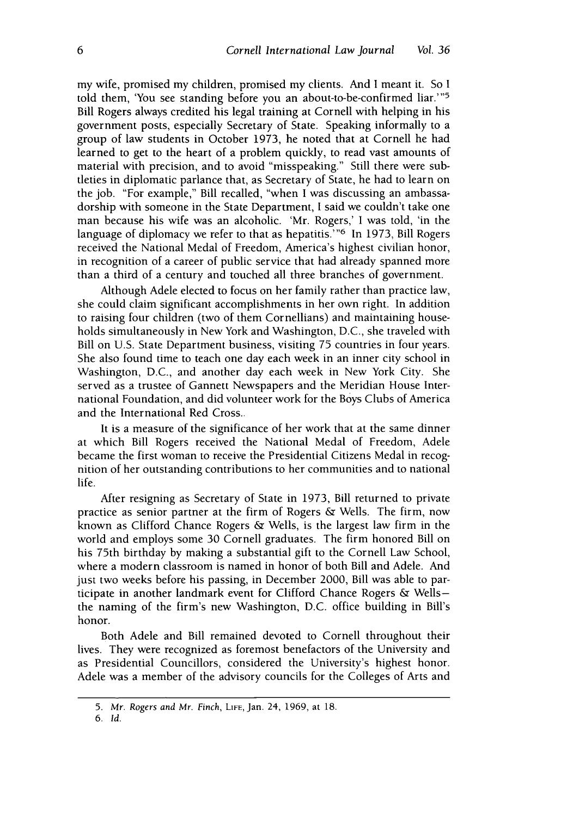my wife, promised my children, promised my clients. And I meant it. So I told them, 'You see standing before you an about-to-be-confirmed liar.'"<sup>5</sup> Bill Rogers always credited his legal training at Cornell with helping in his government posts, especially Secretary of State. Speaking informally to a group of law students in October 1973, he noted that at Cornell he had learned to get to the heart of a problem quickly, to read vast amounts of material with precision, and to avoid "misspeaking." Still there were subtleties in diplomatic parlance that, as Secretary of State, he had to learn on the job. "For example," Bill recalled, "when I was discussing an ambassadorship with someone in the State Department, I said we couldn't take one man because his wife was an alcoholic. 'Mr. Rogers,' I was told, 'in the language of diplomacy we refer to that as hepatitis.<sup>796</sup> In 1973, Bill Rogers received the National Medal of Freedom, America's highest civilian honor, in recognition of a career of public service that had already spanned more than a third of a century and touched all three branches of government.

Although Adele elected to focus on her family rather than practice law, she could claim significant accomplishments in her own right. In addition to raising four children (two of them Cornellians) and maintaining households simultaneously in New York and Washington, D.C., she traveled with Bill on U.S. State Department business, visiting 75 countries in four years. She also found time to teach one day each week in an inner city school in Washington, D.C., and another day each week in New York City. She served as a trustee of Gannett Newspapers and the Meridian House International Foundation, and did volunteer work for the Boys Clubs of America and the International Red Cross..

It is a measure of the significance of her work that at the same dinner at which Bill Rogers received the National Medal of Freedom, Adele became the first woman to receive the Presidential Citizens Medal in recognition of her outstanding contributions to her communities and to national life.

After resigning as Secretary of State in 1973, Bill returned to private practice as senior partner at the firm of Rogers & Wells. The firm, now known as Clifford Chance Rogers & Wells, is the largest law firm in the world and employs some 30 Cornell graduates. The firm honored Bill on his 75th birthday by making a substantial gift to the Cornell Law School, where a modern classroom is named in honor of both Bill and Adele. And just two weeks before his passing, in December 2000, Bill was able to participate in another landmark event for Clifford Chance Rogers & Wellsthe naming of the firm's new Washington, D.C. office building in Bill's honor.

Both Adele and Bill remained devoted to Cornell throughout their lives. They were recognized as foremost benefactors of the University and as Presidential Councillors, considered the University's highest honor. Adele was a member of the advisory councils for the Colleges of Arts and

*6. Id.*

<sup>5.</sup> *Mr. Rogers and Mr. Finch,* **LIFE,** Jan. 24, 1969, at 18.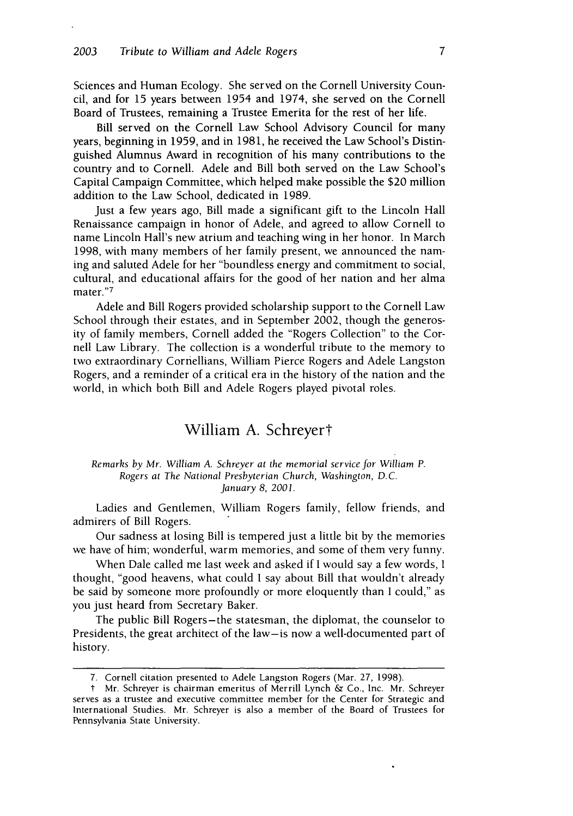Sciences and Human Ecology. She served on the Cornell University Council, and for 15 years between 1954 and 1974, she served on the Cornell Board of Trustees, remaining a Trustee Emerita for the rest of her life.

Bill served on the Cornell Law School Advisory Council for many years, beginning in 1959, and in 1981, he received the Law School's Distinguished Alumnus Award in recognition of his many contributions to the country and to Cornell. Adele and Bill both served on the Law School's Capital Campaign Committee, which helped make possible the \$20 million addition to the Law School, dedicated in 1989.

Just a few years ago, Bill made a significant gift to the Lincoln Hall Renaissance campaign in honor of Adele, and agreed to allow Cornell to name Lincoln Hall's new atrium and teaching wing in her honor. In March 1998, with many members of her family present, we announced the naming and saluted Adele for her "boundless energy and commitment to social, cultural, and educational affairs for the good of her nation and her alma mater."7

Adele and Bill Rogers provided scholarship support to the Cornell Law School through their estates, and in September 2002, though the generosity of family members, Cornell added the "Rogers Collection" to the Cornell Law Library. The collection is a wonderful tribute to the memory to two extraordinary Cornellians, William Pierce Rogers and Adele Langston Rogers, and a reminder of a critical era in the history of the nation and the world, in which both Bill and Adele Rogers played pivotal roles.

# William **A.** Schreyert

#### *Remarks by Mr. William A. Schreyer at the memorial service for William P. Rogers at The National Presbyterian Church, Washington, D.C. January 8, 2001.*

Ladies and Gentlemen, William Rogers family, fellow friends, and admirers of Bill Rogers.

Our sadness at losing Bill is tempered just a little bit by the memories we have of him; wonderful, warm memories, and some of them very funny.

When Dale called me last week and asked if I would say a few words, **I** thought, "good heavens, what could I say about Bill that wouldn't already be said by someone more profoundly or more eloquently than I could," as you just heard from Secretary Baker.

The public Bill Rogers-the statesman, the diplomat, the counselor to Presidents, the great architect of the law-is now a well-documented part of history.

<sup>7.</sup> Cornell citation presented to Adele Langston Rogers (Mar. 27, 1998).

t Mr. Schreyer is chairman emeritus of Merrill Lynch & Co., Inc. Mr. Schreyer serves as a trustee and executive committee member for the Center for Strategic and International Studies. Mr. Schreyer is also a member of the Board of Trustees for Pennsylvania State University.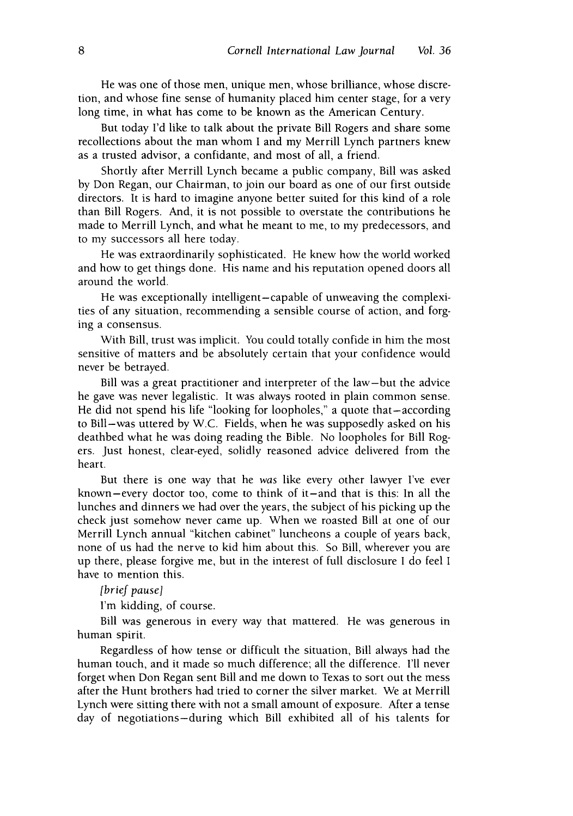He was one of those men, unique men, whose brilliance, whose discretion, and whose fine sense of humanity placed him center stage, for a very long time, in what has come to be known as the American Century.

But today I'd like to talk about the private Bill Rogers and share some recollections about the man whom I and my Merrill Lynch partners knew as a trusted advisor, a confidante, and most of all, a friend.

Shortly after Merrill Lynch became a public company, Bill was asked by Don Regan, our Chairman, to join our board as one of our first outside directors. It is hard to imagine anyone better suited for this kind of a role than Bill Rogers. And, it is not possible to overstate the contributions he made to Merrill Lynch, and what he meant to me, to my predecessors, and to my successors all here today.

He was extraordinarily sophisticated. He knew how the world worked and how to get things done. His name and his reputation opened doors all around the world.

He was exceptionally intelligent-capable of unweaving the complexities of any situation, recommending a sensible course of action, and forging a consensus.

With Bill, trust was implicit. You could totally confide in him the most sensitive of matters and be absolutely certain that your confidence would never be betrayed.

Bill was a great practitioner and interpreter of the law-but the advice he gave was never legalistic. It was always rooted in plain common sense. He did not spend his life "looking for loopholes," a quote that-according to Bill-was uttered by W.C. Fields, when he was supposedly asked on his deathbed what he was doing reading the Bible. No loopholes for Bill Rogers. Just honest, clear-eyed, solidly reasoned advice delivered from the heart.

But there is one way that he *was* like every other lawyer I've ever known-every doctor too, come to think of it-and that is this: In all the lunches and dinners we had over the years, the subject of his picking up the check just somehow never came up. When we roasted Bill at one of our Merrill Lynch annual "kitchen cabinet" luncheons a couple of years back, none of us had the nerve to kid him about this. So Bill, wherever you are up there, please forgive me, but in the interest of full disclosure I do feel I have to mention this.

[brief *pause]*

I'm kidding, of course.

Bill was generous in every way that mattered. He was generous in human spirit.

Regardless of how tense or difficult the situation, Bill always had the human touch, and it made so much difference; all the difference. I'll never forget when Don Regan sent Bill and me down to Texas to sort out the mess after the Hunt brothers had tried to corner the silver market. We at Merrill Lynch were sitting there with not a small amount of exposure. After a tense day of negotiations-during which Bill exhibited all of his talents for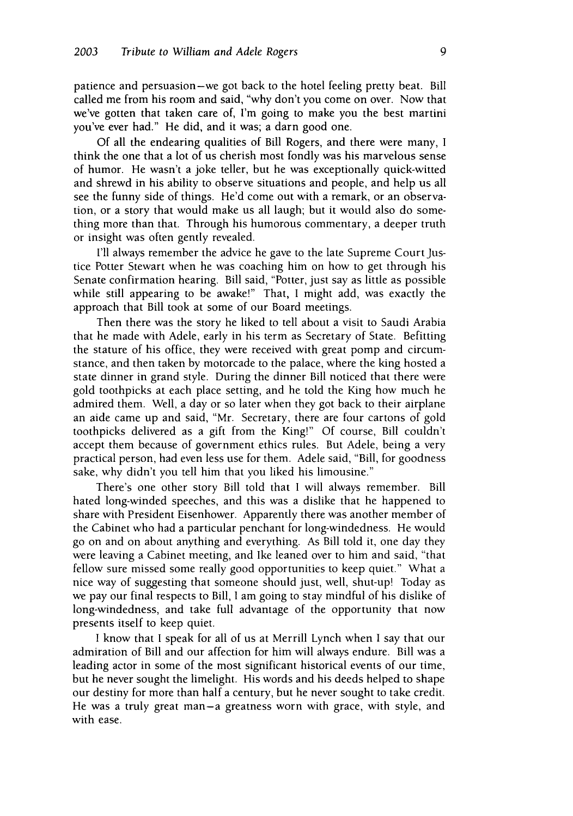patience and persuasion-we got back to the hotel feeling pretty beat. Bill called me from his room and said, "why don't you come on over. Now that we've gotten that taken care of, I'm going to make you the best martini you've ever had." He did, and it was; a darn good one.

Of all the endearing qualities of Bill Rogers, and there were many, **I** think the one that a lot of us cherish most fondly was his marvelous sense of humor. He wasn't a joke teller, but he was exceptionally quick-witted and shrewd in his ability to observe situations and people, and help us all see the funny side of things. He'd come out with a remark, or an observation, or a story that would make us all laugh; but it would also do something more than that. Through his humorous commentary, a deeper truth or insight was often gently revealed.

I'll always remember the advice he gave to the late Supreme Court Justice Potter Stewart when he was coaching him on how to get through his Senate confirmation hearing. Bill said, "Potter, just say as little as possible while still appearing to be awake!" That, I might add, was exactly the approach that Bill took at some of our Board meetings.

Then there was the story he liked to tell about a visit to Saudi Arabia that he made with Adele, early in his term as Secretary of State. Befitting the stature of his office, they were received with great pomp and circumstance, and then taken by motorcade to the palace, where the king hosted a state dinner in grand style. During the dinner Bill noticed that there were gold toothpicks at each place setting, and he told the King how much he admired them. Well, a day or so later when they got back to their airplane an aide came up and said, "Mr. Secretary, there are four cartons of gold toothpicks delivered as a gift from the King!" Of course, Bill couldn't accept them because of government ethics rules. But Adele, being a very practical person, had even less use for them. Adele said, "Bill, for goodness sake, why didn't you tell him that you liked his limousine."

There's one other story Bill told that I will always remember. Bill hated long-winded speeches, and this was a dislike that he happened to share with President Eisenhower. Apparently there was another member of the Cabinet who had a particular penchant for long-windedness. He would go on and on about anything and everything. As Bill told it, one day they were leaving a Cabinet meeting, and Ike leaned over to him and said, "that fellow sure missed some really good opportunities to keep quiet." What a nice way of suggesting that someone should just, well, shut-up! Today as we pay our final respects to Bill, I am going to stay mindful of his dislike of long-windedness, and take full advantage of the opportunity that now presents itself to keep quiet.

I know that I speak for all of us at Merrill Lynch when I say that our admiration of Bill and our affection for him will always endure. Bill was a leading actor in some of the most significant historical events of our time, but he never sought the limelight. His words and his deeds helped to shape our destiny for more than half a century, but he never sought to take credit. He was a truly great man-a greatness worn with grace, with style, and with ease.